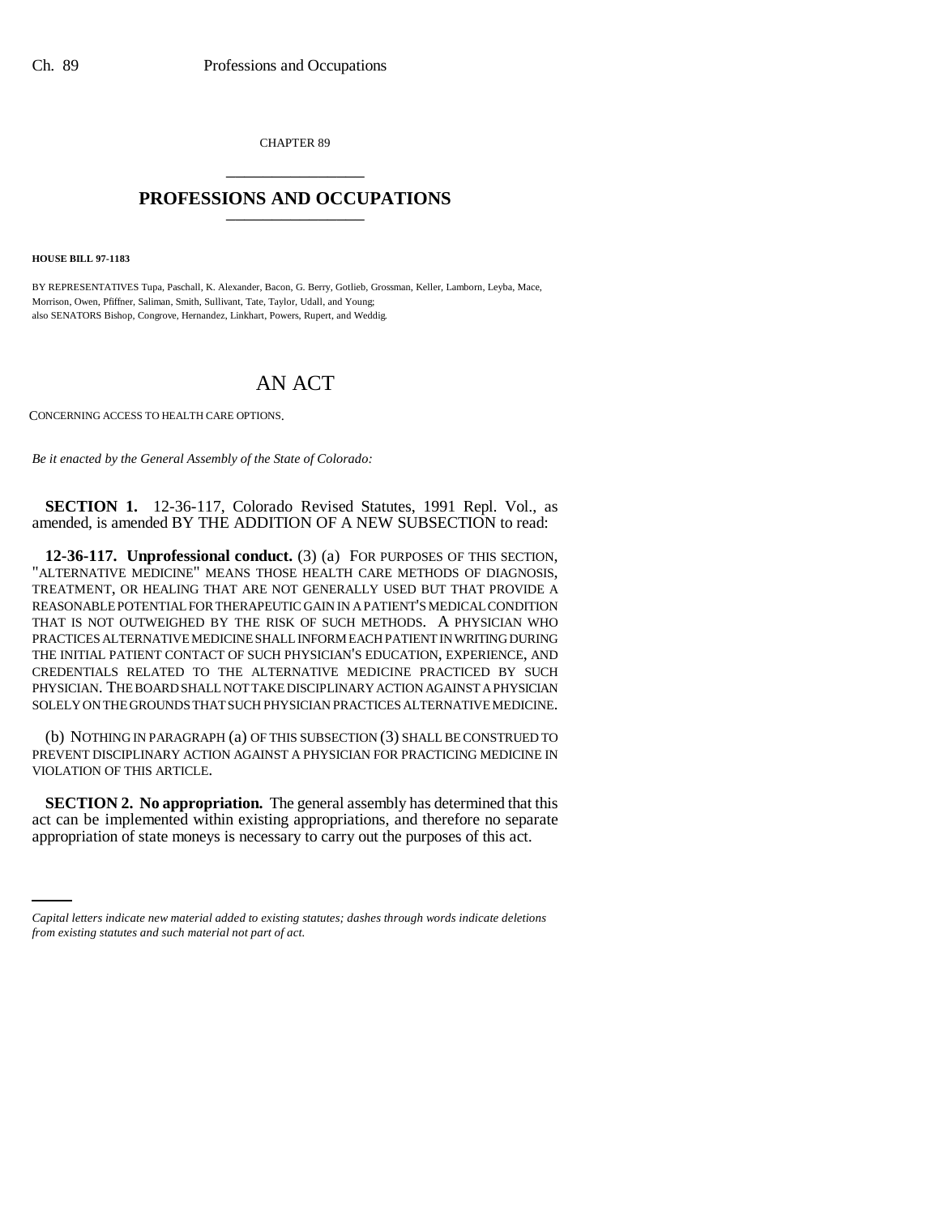CHAPTER 89 \_\_\_\_\_\_\_\_\_\_\_\_\_\_\_

## **PROFESSIONS AND OCCUPATIONS** \_\_\_\_\_\_\_\_\_\_\_\_\_\_\_

**HOUSE BILL 97-1183**

BY REPRESENTATIVES Tupa, Paschall, K. Alexander, Bacon, G. Berry, Gotlieb, Grossman, Keller, Lamborn, Leyba, Mace, Morrison, Owen, Pfiffner, Saliman, Smith, Sullivant, Tate, Taylor, Udall, and Young; also SENATORS Bishop, Congrove, Hernandez, Linkhart, Powers, Rupert, and Weddig.

## AN ACT

CONCERNING ACCESS TO HEALTH CARE OPTIONS.

*Be it enacted by the General Assembly of the State of Colorado:*

**SECTION 1.** 12-36-117, Colorado Revised Statutes, 1991 Repl. Vol., as amended, is amended BY THE ADDITION OF A NEW SUBSECTION to read:

**12-36-117. Unprofessional conduct.** (3) (a) FOR PURPOSES OF THIS SECTION, "ALTERNATIVE MEDICINE" MEANS THOSE HEALTH CARE METHODS OF DIAGNOSIS, TREATMENT, OR HEALING THAT ARE NOT GENERALLY USED BUT THAT PROVIDE A REASONABLE POTENTIAL FOR THERAPEUTIC GAIN IN A PATIENT'S MEDICAL CONDITION THAT IS NOT OUTWEIGHED BY THE RISK OF SUCH METHODS. A PHYSICIAN WHO PRACTICES ALTERNATIVE MEDICINE SHALL INFORM EACH PATIENT IN WRITING DURING THE INITIAL PATIENT CONTACT OF SUCH PHYSICIAN'S EDUCATION, EXPERIENCE, AND CREDENTIALS RELATED TO THE ALTERNATIVE MEDICINE PRACTICED BY SUCH PHYSICIAN. THE BOARD SHALL NOT TAKE DISCIPLINARY ACTION AGAINST A PHYSICIAN SOLELY ON THE GROUNDS THAT SUCH PHYSICIAN PRACTICES ALTERNATIVE MEDICINE.

(b) NOTHING IN PARAGRAPH (a) OF THIS SUBSECTION (3) SHALL BE CONSTRUED TO PREVENT DISCIPLINARY ACTION AGAINST A PHYSICIAN FOR PRACTICING MEDICINE IN VIOLATION OF THIS ARTICLE.

act can be implemented within existing appropriations, and therefore no separate **SECTION 2. No appropriation.** The general assembly has determined that this appropriation of state moneys is necessary to carry out the purposes of this act.

*Capital letters indicate new material added to existing statutes; dashes through words indicate deletions from existing statutes and such material not part of act.*